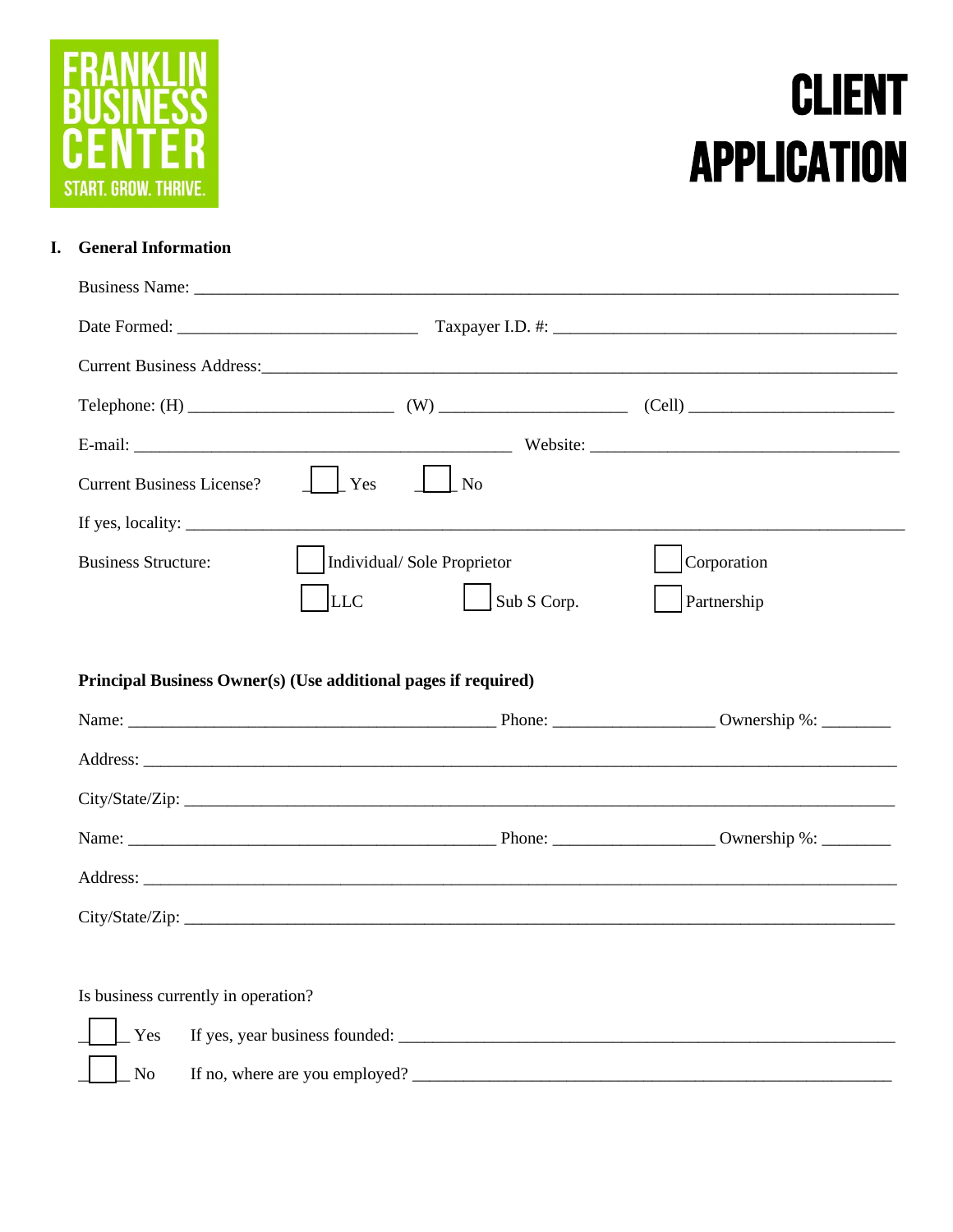

# **CLIENT APPLICATION**

## I. General Information

| <b>Current Business License?</b> | $\vert$ $\vert$ Yes<br>$\overline{\phantom{1}}$ No                                                     |             |
|----------------------------------|--------------------------------------------------------------------------------------------------------|-------------|
|                                  | If yes, locality: $\sqrt{\frac{2}{1-\frac{1}{2}} + \frac{1}{2-\frac{1}{2}} + \frac{1}{2-\frac{1}{2}}}$ |             |
| <b>Business Structure:</b>       | Individual/Sole Proprietor                                                                             | Corporation |
|                                  |                                                                                                        |             |
|                                  | LLC<br>Sub S Corp.                                                                                     | Partnership |
|                                  |                                                                                                        |             |
|                                  | Principal Business Owner(s) (Use additional pages if required)                                         |             |
|                                  |                                                                                                        |             |
|                                  |                                                                                                        |             |
|                                  | City/State/Zip:                                                                                        |             |
|                                  |                                                                                                        |             |
|                                  |                                                                                                        |             |

Yes  $\rm No$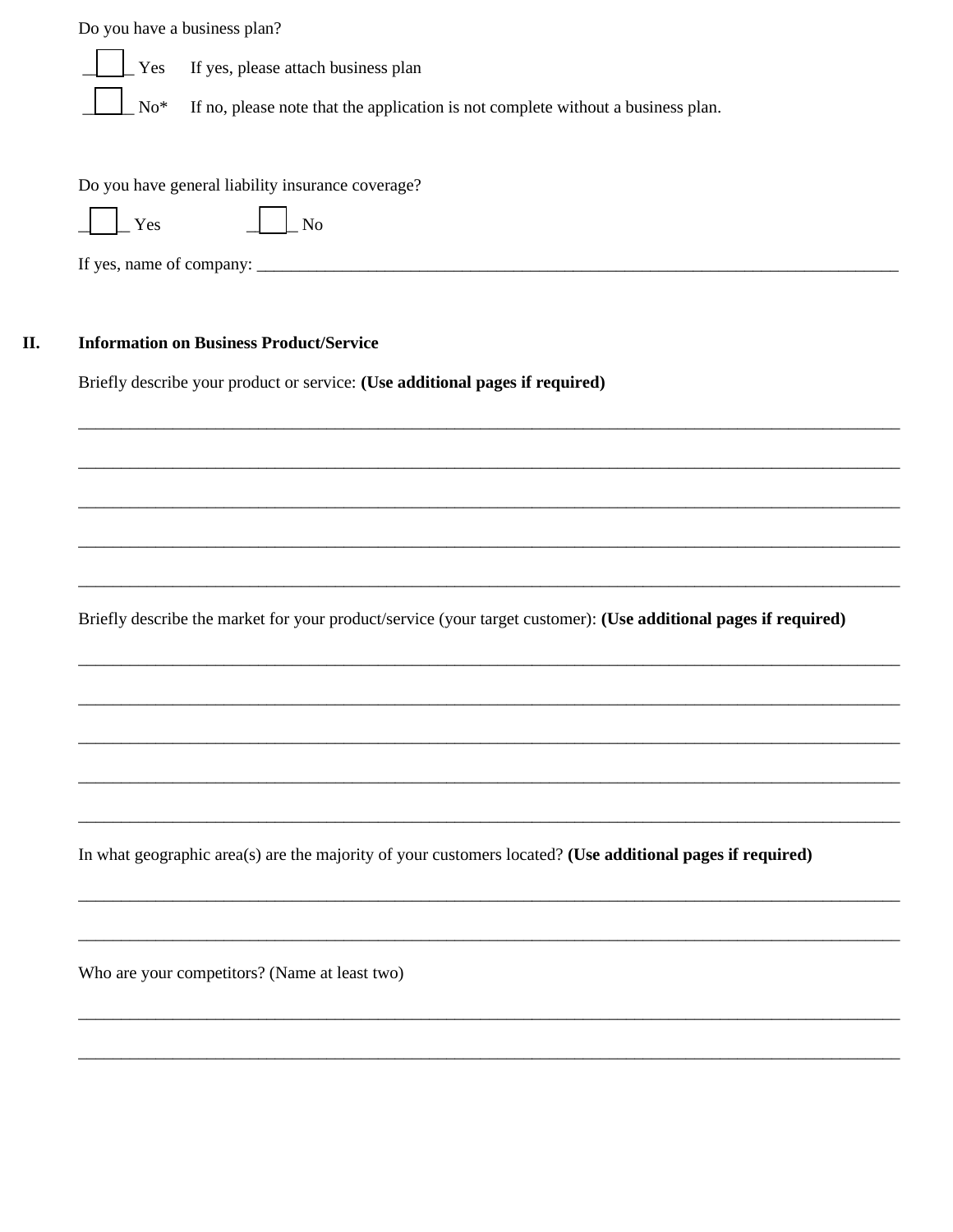|                 | Do you have a business plan?                                                                                    |
|-----------------|-----------------------------------------------------------------------------------------------------------------|
| Yes             | If yes, please attach business plan                                                                             |
| $\mathrm{No}^*$ | If no, please note that the application is not complete without a business plan.                                |
|                 |                                                                                                                 |
|                 | Do you have general liability insurance coverage?                                                               |
| Yes             | <b>No</b>                                                                                                       |
|                 |                                                                                                                 |
|                 |                                                                                                                 |
|                 | <b>Information on Business Product/Service</b>                                                                  |
|                 | Briefly describe your product or service: (Use additional pages if required)                                    |
|                 |                                                                                                                 |
|                 |                                                                                                                 |
|                 |                                                                                                                 |
|                 |                                                                                                                 |
|                 |                                                                                                                 |
|                 | Briefly describe the market for your product/service (your target customer): (Use additional pages if required) |
|                 |                                                                                                                 |
|                 |                                                                                                                 |
|                 |                                                                                                                 |
|                 |                                                                                                                 |
|                 |                                                                                                                 |
|                 | In what geographic area(s) are the majority of your customers located? (Use additional pages if required)       |
|                 |                                                                                                                 |
|                 |                                                                                                                 |
|                 | Who are your competitors? (Name at least two)                                                                   |
|                 |                                                                                                                 |
|                 |                                                                                                                 |
|                 |                                                                                                                 |

II.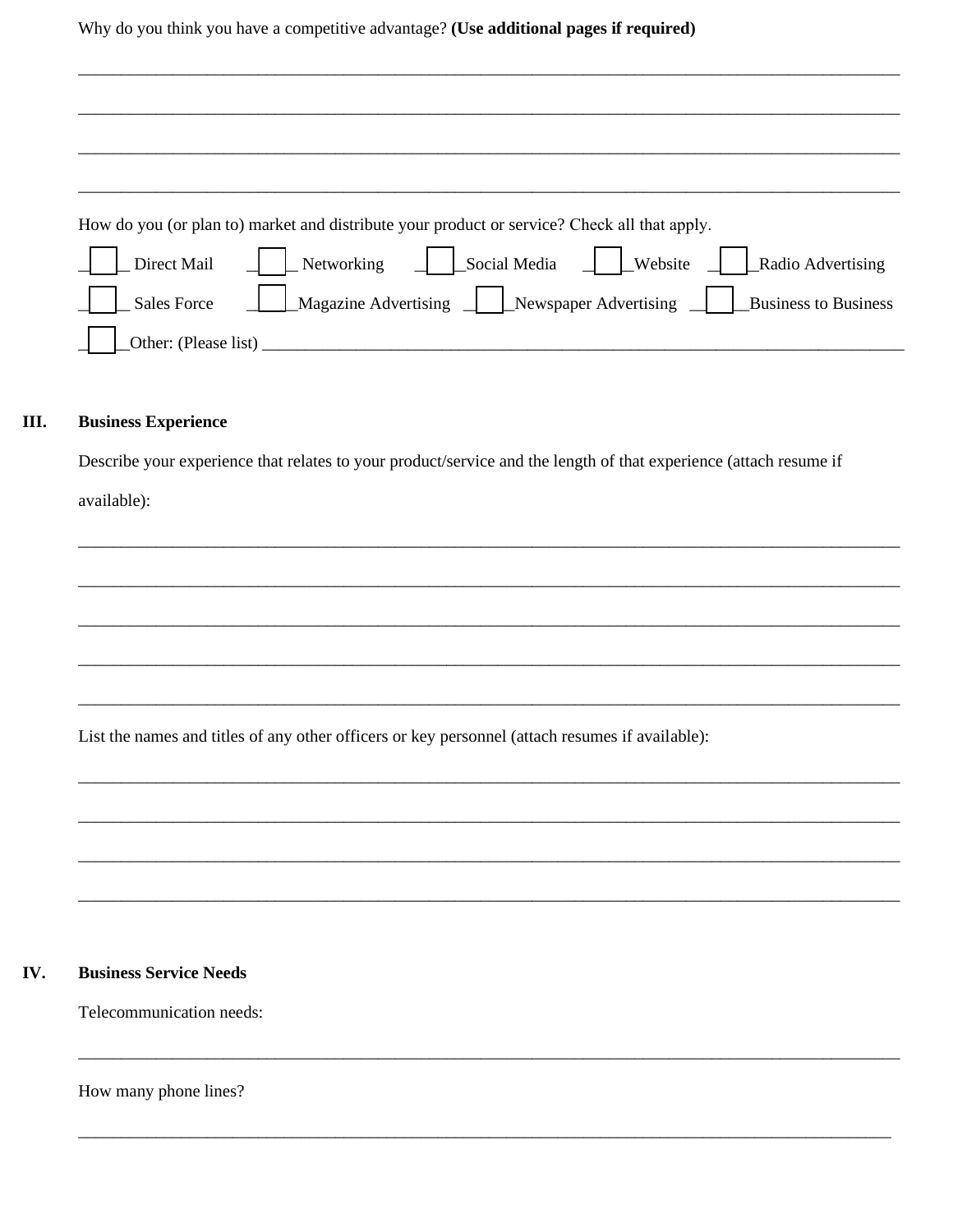Why do you think you have a competitive advantage? (Use additional pages if required)

|                    | How do you (or plan to) market and distribute your product or service? Check all that apply. |
|--------------------|----------------------------------------------------------------------------------------------|
| Direct Mail        | Networking Social Media $\Box$ Website<br>Radio Advertising                                  |
| <b>Sales Force</b> | Magazine Advertising <u>Newspaper</u> Advertising<br><b>Business to Business</b>             |
|                    | Other: (Please list)                                                                         |

#### III. **Business Experience**

Describe your experience that relates to your product/service and the length of that experience (attach resume if available):

List the names and titles of any other officers or key personnel (attach resumes if available):

#### **Business Service Needs** IV.

Telecommunication needs:

How many phone lines?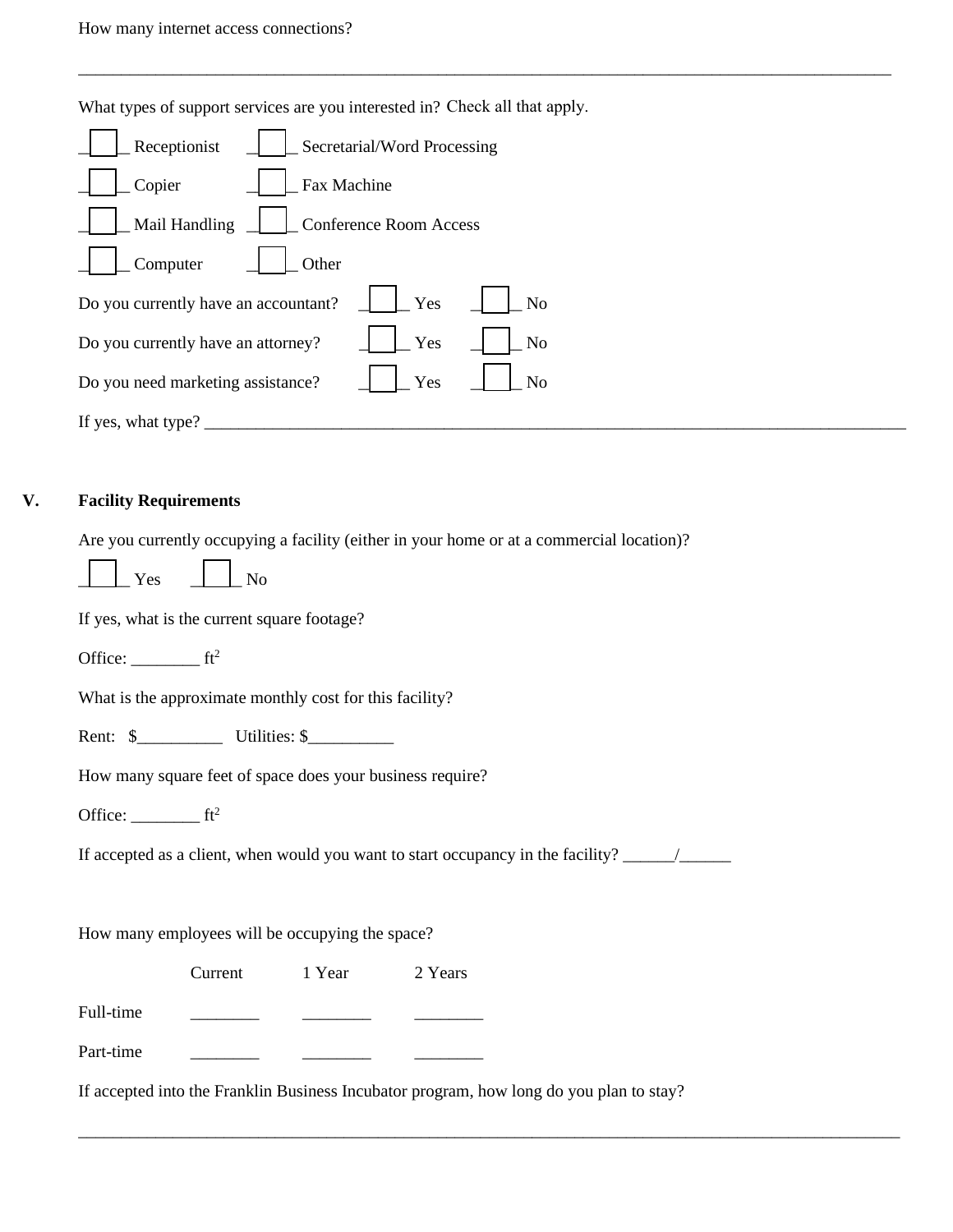What types of support services are you interested in? Check all that apply.

\_\_\_\_\_\_\_\_\_\_\_\_\_\_\_\_\_\_\_\_\_\_\_\_\_\_\_\_\_\_\_\_\_\_\_\_\_\_\_\_\_\_\_\_\_\_\_\_\_\_\_\_\_\_\_\_\_\_\_\_\_\_\_\_\_\_\_\_\_\_\_\_\_\_\_\_\_\_\_\_\_\_\_\_\_\_\_\_\_\_\_\_\_\_\_

| Secretarial/Word Processing<br>Receptionist       |
|---------------------------------------------------|
| Fax Machine<br>Copier                             |
| Mail Handling<br><b>Conference Room Access</b>    |
| Other<br>Computer                                 |
| Do you currently have an accountant?<br>Yes<br>No |
| Do you currently have an attorney?<br>Yes<br>No   |
| Do you need marketing assistance?<br>Yes<br>No    |
| If yes, what type?                                |

### **V. Facility Requirements**

 $\overline{a}$ 

Are you currently occupying a facility (either in your home or at a commercial location)?

| $Yes$ No |                                             |
|----------|---------------------------------------------|
|          | If yes, what is the current square footage? |

Office:  $f^2$ 

What is the approximate monthly cost for this facility?

Rent: \$ Utilities: \$

How many square feet of space does your business require?

Office: ft<sup>2</sup>

If accepted as a client, when would you want to start occupancy in the facility? \_\_\_\_\_\_/\_\_\_\_\_\_

How many employees will be occupying the space?

Current 1 Year 2 Years

Full-time

| Part-time |  |  |
|-----------|--|--|
|           |  |  |

If accepted into the Franklin Business Incubator program, how long do you plan to stay?

\_\_\_\_\_\_\_\_\_\_\_\_\_\_\_\_\_\_\_\_\_\_\_\_\_\_\_\_\_\_\_\_\_\_\_\_\_\_\_\_\_\_\_\_\_\_\_\_\_\_\_\_\_\_\_\_\_\_\_\_\_\_\_\_\_\_\_\_\_\_\_\_\_\_\_\_\_\_\_\_\_\_\_\_\_\_\_\_\_\_\_\_\_\_\_\_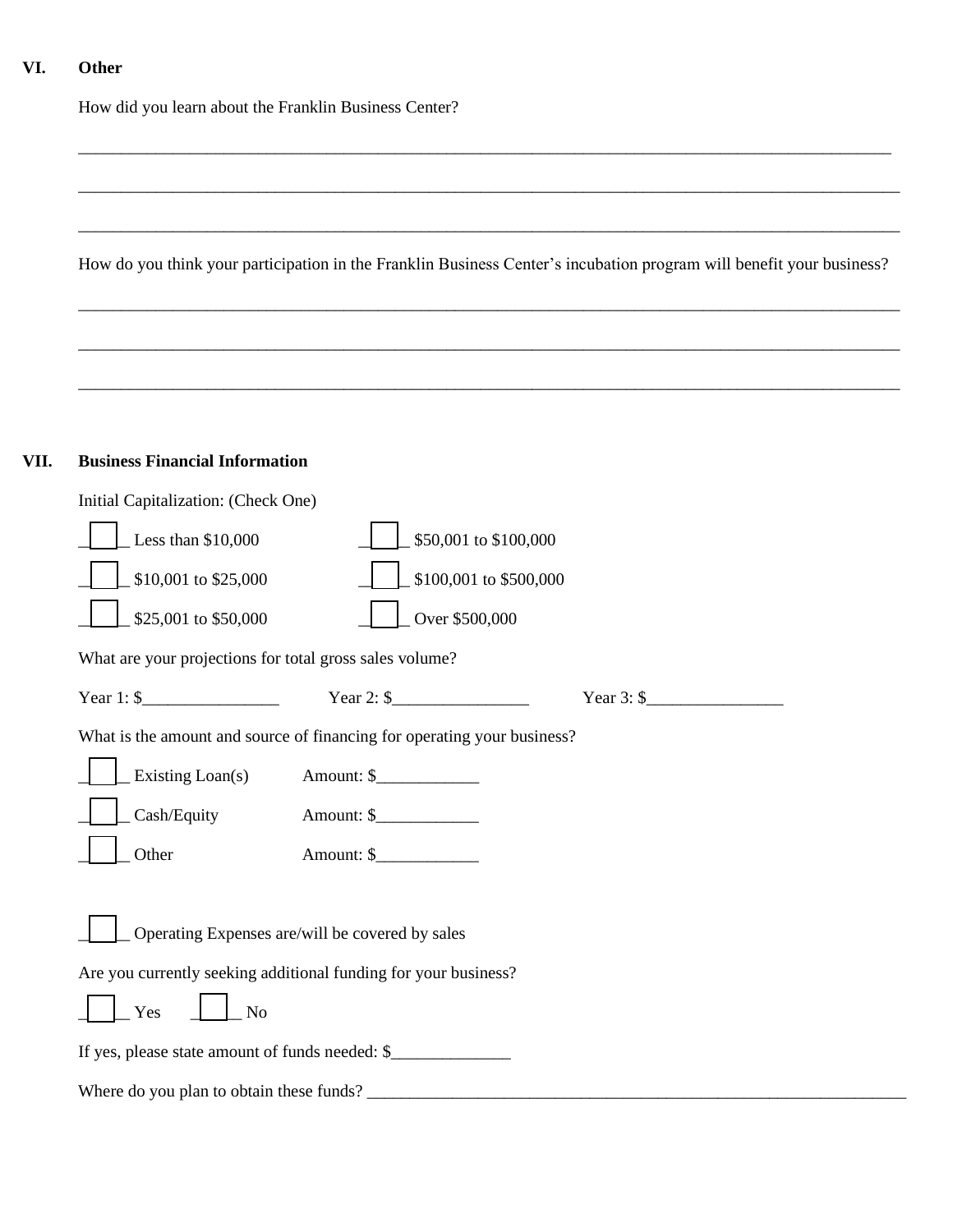## **VI. Other**

**VII.** 

How did you learn about the Franklin Business Center?

| <b>Business Financial Information</b>                                                                                                                                                                                                                                                                                                                                |
|----------------------------------------------------------------------------------------------------------------------------------------------------------------------------------------------------------------------------------------------------------------------------------------------------------------------------------------------------------------------|
| Initial Capitalization: (Check One)                                                                                                                                                                                                                                                                                                                                  |
| Less than \$10,000<br>\$50,001 to \$100,000                                                                                                                                                                                                                                                                                                                          |
| \$10,001 to \$25,000<br>\$100,001 to \$500,000                                                                                                                                                                                                                                                                                                                       |
| \$25,001 to \$50,000<br>Over \$500,000                                                                                                                                                                                                                                                                                                                               |
| What are your projections for total gross sales volume?                                                                                                                                                                                                                                                                                                              |
| Year 1: $\frac{1}{2}$ Year 2: $\frac{1}{2}$<br>Year 3: $\frac{1}{2}$ $\frac{1}{2}$ $\frac{1}{2}$ $\frac{1}{2}$ $\frac{1}{2}$ $\frac{1}{2}$ $\frac{1}{2}$ $\frac{1}{2}$ $\frac{1}{2}$ $\frac{1}{2}$ $\frac{1}{2}$ $\frac{1}{2}$ $\frac{1}{2}$ $\frac{1}{2}$ $\frac{1}{2}$ $\frac{1}{2}$ $\frac{1}{2}$ $\frac{1}{2}$ $\frac{1}{2}$ $\frac{1}{2}$ $\frac{1}{2}$ $\frac$ |
| What is the amount and source of financing for operating your business?                                                                                                                                                                                                                                                                                              |
| Existing Loan(s)<br>Amount: \$                                                                                                                                                                                                                                                                                                                                       |
| Cash/Equity                                                                                                                                                                                                                                                                                                                                                          |
| Other                                                                                                                                                                                                                                                                                                                                                                |
| Operating Expenses are/will be covered by sales                                                                                                                                                                                                                                                                                                                      |
| Are you currently seeking additional funding for your business?                                                                                                                                                                                                                                                                                                      |

\_\_\_\_\_\_\_\_\_\_\_\_\_\_\_\_\_\_\_\_\_\_\_\_\_\_\_\_\_\_\_\_\_\_\_\_\_\_\_\_\_\_\_\_\_\_\_\_\_\_\_\_\_\_\_\_\_\_\_\_\_\_\_\_\_\_\_\_\_\_\_\_\_\_\_\_\_\_\_\_\_\_\_\_\_\_\_\_\_\_\_\_\_\_\_